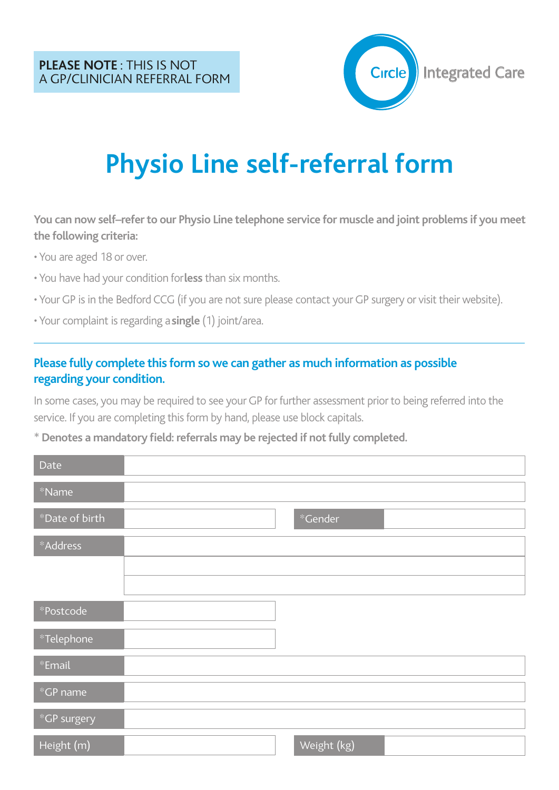

# **Physio Line self-referral form**

You can now self-refer to our Physio Line telephone service for muscle and joint problems if you meet **the following criteria:**

• You are aged 18 or over.

- You have had your condition for**less** than six months.
- Your GP is in the Bedford CCG (if you are not sure please contact your GP surgery or visit their website).
- Your complaint is regarding a**single** (1) joint/area.

#### **Please fully complete this form so we can gather as much information as possible regarding your condition.**

In some cases, you may be required to see your GP for further assessment prior to being referred into the service. If you are completing this form by hand, please use block capitals.

\***Denotes a mandatory field: referrals may be rejected if notfully completed.**

| Date           |             |
|----------------|-------------|
| $*$ Name       |             |
| *Date of birth | *Gender     |
| *Address       |             |
|                |             |
|                |             |
| *Postcode      |             |
| *Telephone     |             |
| $*$ Email      |             |
| $*$ GP name    |             |
| *GP surgery    |             |
| Height (m)     | Weight (kg) |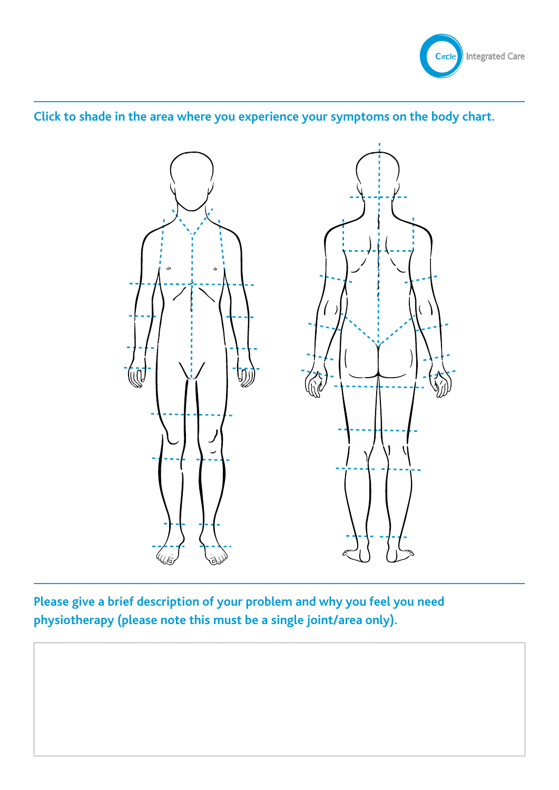

### **Click to shade in the area where you experience your symptoms on the body chart.**



**Please give a brief description of your problem and why you feel you need physiotherapy (please note this must be a single joint/area only).**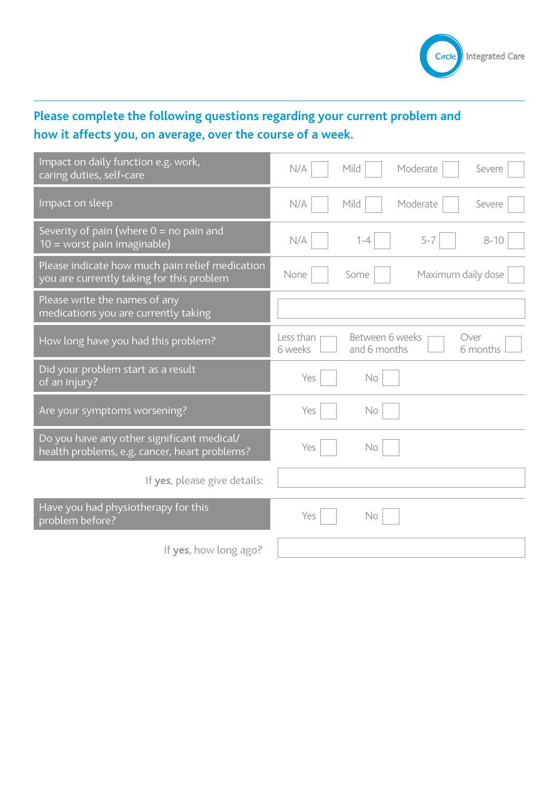

## **Please complete the following questions regarding your current problem and how it affects you, on average, over the course of a week.**

| Impact on daily function e.g. work,<br>caring duties, self-care                              | Mild<br>N/A<br>Moderate<br>Severe                                           |
|----------------------------------------------------------------------------------------------|-----------------------------------------------------------------------------|
| Impact on sleep                                                                              | N/A<br>Mild<br>Moderate<br>Severe                                           |
| Severity of pain (where $0 =$ no pain and<br>10 = worst pain imaginable)                     | $5 - 7$<br>N/A<br>$8 - 10$<br>$1 - 4$                                       |
| Please indicate how much pain relief medication<br>you are currently taking for this problem | Maximum daily dose<br>None<br>Some                                          |
| Please write the names of any<br>medications you are currently taking                        |                                                                             |
| How long have you had this problem?                                                          | Less than<br>Between 6 weeks<br>Over<br>6 weeks<br>and 6 months<br>6 months |
| Did your problem start as a result<br>of an injury?                                          | Yes<br>No                                                                   |
| Are your symptoms worsening?                                                                 | Yes<br>No                                                                   |
| Do you have any other significant medical/<br>health problems, e.g. cancer, heart problems?  | Yes<br>No                                                                   |
| If yes, please give details:                                                                 |                                                                             |
| Have you had physiotherapy for this<br>problem before?                                       | Yes<br>No                                                                   |
| If yes, how long ago?                                                                        |                                                                             |